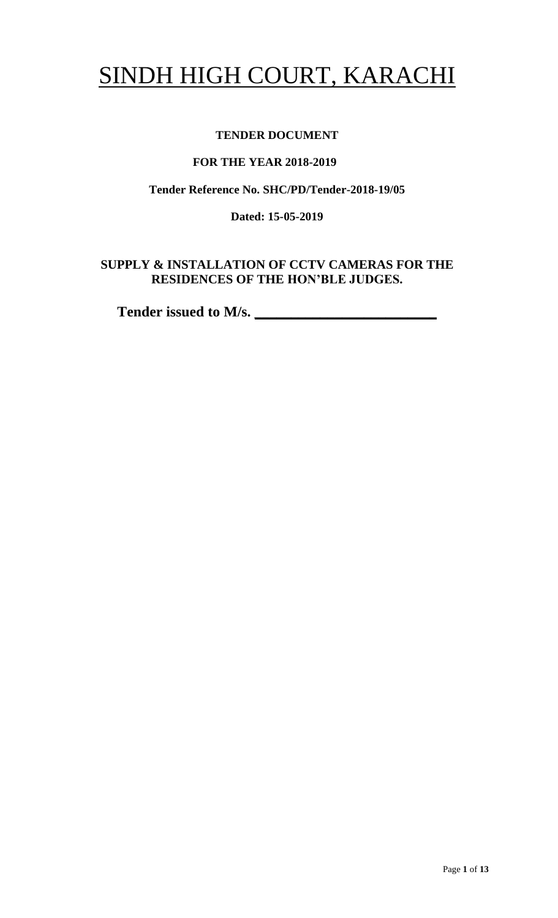# SINDH HIGH COURT, KARACHI

# **TENDER DOCUMENT**

## **FOR THE YEAR 2018-2019**

# **Tender Reference No. SHC/PD/Tender-2018-19/05**

**Dated: 15-05-2019**

# **SUPPLY & INSTALLATION OF CCTV CAMERAS FOR THE RESIDENCES OF THE HON'BLE JUDGES.**

Tender issued to M/s.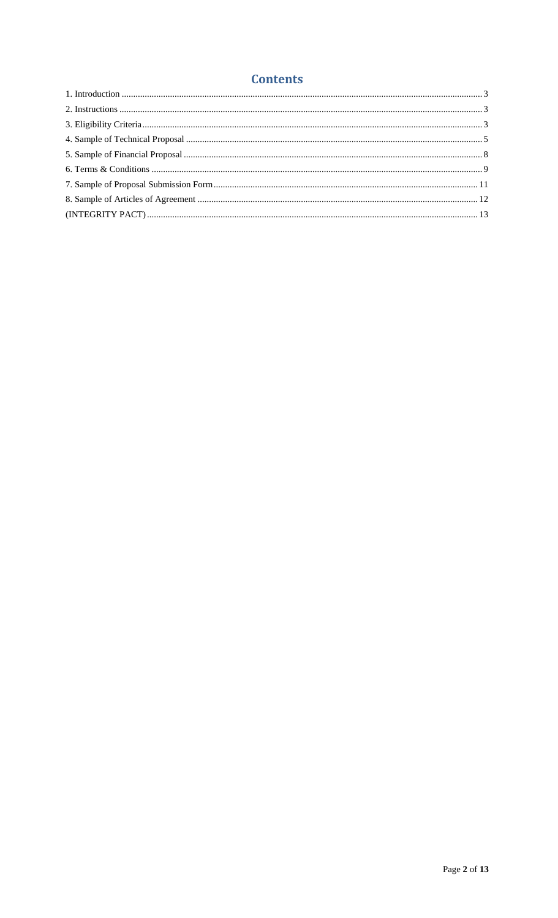# **Contents**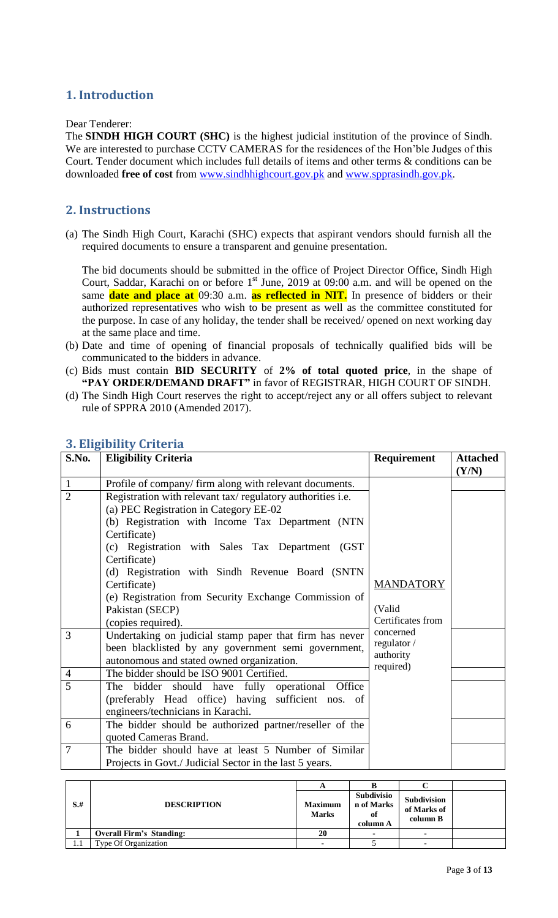# <span id="page-2-0"></span>**1. Introduction**

#### Dear Tenderer:

The **SINDH HIGH COURT (SHC)** is the highest judicial institution of the province of [Sindh.](https://en.wikipedia.org/wiki/Sindh) We are interested to purchase CCTV CAMERAS for the residences of the Hon'ble Judges of this Court. Tender document which includes full details of items and other terms & conditions can be downloaded **free of cost** from [www.sindhhighcourt.gov.pk](http://www.sindhhighcourt.gov.pk/) and [www.spprasindh.gov.pk.](http://www.spprasindh.gov.pk/)

#### <span id="page-2-1"></span>**2. Instructions**

(a) The Sindh High Court, Karachi (SHC) expects that aspirant vendors should furnish all the required documents to ensure a transparent and genuine presentation.

The bid documents should be submitted in the office of Project Director Office, Sindh High Court, Saddar, Karachi on or before  $1<sup>st</sup>$  June, 2019 at 09:00 a.m. and will be opened on the same **date and place at** 09:30 a.m. **as reflected in NIT.** In presence of bidders or their authorized representatives who wish to be present as well as the committee constituted for the purpose. In case of any holiday, the tender shall be received/ opened on next working day at the same place and time.

- (b) Date and time of opening of financial proposals of technically qualified bids will be communicated to the bidders in advance.
- (c) Bids must contain **BID SECURITY** of **2% of total quoted price**, in the shape of **"PAY ORDER/DEMAND DRAFT"** in favor of REGISTRAR, HIGH COURT OF SINDH.
- (d) The Sindh High Court reserves the right to accept/reject any or all offers subject to relevant rule of SPPRA 2010 (Amended 2017).

| S.No.          | <b>Eligibility Criteria</b>                                            | Requirement                 | <b>Attached</b><br>(Y/N) |  |
|----------------|------------------------------------------------------------------------|-----------------------------|--------------------------|--|
| $\mathbf{1}$   | Profile of company/ firm along with relevant documents.                |                             |                          |  |
| $\overline{2}$ | Registration with relevant tax/regulatory authorities i.e.             |                             |                          |  |
|                | (a) PEC Registration in Category EE-02                                 |                             |                          |  |
|                | (b) Registration with Income Tax Department (NTN                       |                             |                          |  |
|                | Certificate)                                                           |                             |                          |  |
|                | (c) Registration with Sales Tax Department (GST                        |                             |                          |  |
|                | Certificate)                                                           |                             |                          |  |
|                | (d) Registration with Sindh Revenue Board (SNTN                        |                             |                          |  |
|                | Certificate)                                                           | <b>MANDATORY</b>            |                          |  |
|                | (e) Registration from Security Exchange Commission of                  |                             |                          |  |
|                | Pakistan (SECP)                                                        | (Valid<br>Certificates from |                          |  |
|                | (copies required).<br>concerned                                        |                             |                          |  |
| 3              | Undertaking on judicial stamp paper that firm has never<br>regulator / |                             |                          |  |
|                | been blacklisted by any government semi government,                    | authority                   |                          |  |
|                | autonomous and stated owned organization.<br>required)                 |                             |                          |  |
| $\overline{4}$ | The bidder should be ISO 9001 Certified.                               |                             |                          |  |
| 5              | The bidder should have fully operational Office                        |                             |                          |  |
|                | (preferably Head office) having sufficient nos. of                     |                             |                          |  |
|                | engineers/technicians in Karachi.                                      |                             |                          |  |
| 6              | The bidder should be authorized partner/reseller of the                |                             |                          |  |
|                | quoted Cameras Brand.                                                  |                             |                          |  |
| $\overline{7}$ | The bidder should have at least 5 Number of Similar                    |                             |                          |  |
|                | Projects in Govt./ Judicial Sector in the last 5 years.                |                             |                          |  |

#### <span id="page-2-2"></span>**3. Eligibility Criteria**

| $S+$ | <b>DESCRIPTION</b>              | <b>Maximum</b><br><b>Marks</b> | Subdivisio<br>n of Marks<br>0Ì<br>column A | Subdivision<br>of Marks of<br>column B |  |
|------|---------------------------------|--------------------------------|--------------------------------------------|----------------------------------------|--|
|      | <b>Overall Firm's Standing:</b> | 20                             |                                            |                                        |  |
|      | Type Of Organization            |                                |                                            |                                        |  |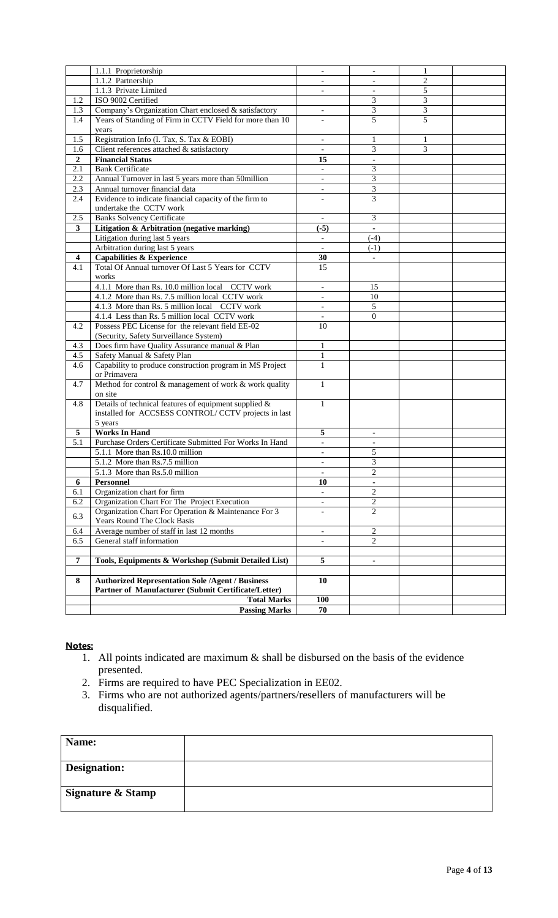|                         | 1.1.1 Proprietorship                                     | $\overline{\phantom{a}}$    | $\overline{\phantom{a}}$ |                |  |
|-------------------------|----------------------------------------------------------|-----------------------------|--------------------------|----------------|--|
|                         | 1.1.2 Partnership                                        |                             |                          | 2              |  |
|                         | 1.1.3 Private Limited                                    |                             | $\blacksquare$           | 5              |  |
| 1.2                     | ISO 9002 Certified                                       |                             | 3                        | 3              |  |
| 1.3                     | Company's Organization Chart enclosed & satisfactory     | $\mathcal{L}^{\mathcal{L}}$ | 3                        | $\overline{3}$ |  |
| 1.4                     | Years of Standing of Firm in CCTV Field for more than 10 |                             | 5                        | 5              |  |
|                         | years                                                    |                             |                          |                |  |
| 1.5                     | Registration Info (I. Tax, S. Tax & EOBI)                | $\blacksquare$              | $\mathbf{1}$             | $\mathbf{1}$   |  |
| 1.6                     | Client references attached & satisfactory                |                             | 3                        | 3              |  |
| $\mathbf{2}$            | <b>Financial Status</b>                                  | 15                          | $\blacksquare$           |                |  |
| 2.1                     | <b>Bank Certificate</b>                                  | $\overline{\phantom{a}}$    | 3                        |                |  |
| 2.2                     | Annual Turnover in last 5 years more than 50million      |                             | 3                        |                |  |
| 2.3                     | Annual turnover financial data                           | $\overline{\phantom{a}}$    | 3                        |                |  |
| 2.4                     | Evidence to indicate financial capacity of the firm to   |                             | 3                        |                |  |
|                         |                                                          |                             |                          |                |  |
|                         | undertake the CCTV work                                  |                             |                          |                |  |
| 2.5                     | <b>Banks Solvency Certificate</b>                        | $\overline{\phantom{a}}$    | 3<br>ä,                  |                |  |
| 3                       | Litigation & Arbitration (negative marking)              | $(-5)$                      |                          |                |  |
|                         | Litigation during last 5 years                           | $\mathbf{r}$                | $(-4)$                   |                |  |
|                         | Arbitration during last 5 years                          |                             | $(-1)$                   |                |  |
| $\overline{\mathbf{4}}$ | <b>Capabilities &amp; Experience</b>                     | 30                          | $\blacksquare$           |                |  |
| 4.1                     | Total Of Annual turnover Of Last 5 Years for CCTV        | 15                          |                          |                |  |
|                         | works                                                    |                             |                          |                |  |
|                         | 4.1.1 More than Rs. 10.0 million local CCTV work         | $\overline{\phantom{a}}$    | 15                       |                |  |
|                         | 4.1.2 More than Rs. 7.5 million local CCTV work          |                             | 10                       |                |  |
|                         | 4.1.3 More than Rs. 5 million local CCTV work            | $\overline{\phantom{a}}$    | 5                        |                |  |
|                         | 4.1.4 Less than Rs. 5 million local CCTV work            | $\overline{\phantom{a}}$    | $\overline{0}$           |                |  |
| 4.2                     | Possess PEC License for the relevant field EE-02         | 10                          |                          |                |  |
|                         | (Security, Safety Surveillance System)                   |                             |                          |                |  |
| 4.3                     | Does firm have Quality Assurance manual & Plan           | $\mathbf{1}$                |                          |                |  |
| 4.5                     | Safety Manual & Safety Plan                              | $\mathbf{1}$                |                          |                |  |
| 4.6                     | Capability to produce construction program in MS Project | 1                           |                          |                |  |
|                         | or Primavera                                             |                             |                          |                |  |
| 4.7                     | Method for control & management of work & work quality   | $\mathbf{1}$                |                          |                |  |
|                         | on site                                                  |                             |                          |                |  |
| 4.8                     | Details of technical features of equipment supplied $\&$ | $\mathbf{1}$                |                          |                |  |
|                         | installed for ACCSESS CONTROL/CCTV projects in last      |                             |                          |                |  |
|                         | 5 years                                                  |                             |                          |                |  |
| 5                       | <b>Works In Hand</b>                                     | 5                           |                          |                |  |
| 5.1                     | Purchase Orders Certificate Submitted For Works In Hand  | $\blacksquare$              | $\overline{\phantom{a}}$ |                |  |
|                         | 5.1.1 More than Rs.10.0 million                          |                             | 5                        |                |  |
|                         |                                                          | $\overline{\phantom{a}}$    |                          |                |  |
|                         | 5.1.2 More than Rs.7.5 million                           | $\overline{\phantom{a}}$    | 3                        |                |  |
|                         | 5.1.3 More than Rs.5.0 million                           |                             | $\overline{c}$           |                |  |
| 6                       | <b>Personnel</b>                                         | 10                          | ä,                       |                |  |
| 6.1                     | Organization chart for firm                              | $\overline{\phantom{a}}$    | $\overline{c}$           |                |  |
| 6.2                     | Organization Chart For The Project Execution             | $\overline{\phantom{a}}$    | $\overline{c}$           |                |  |
| 6.3                     | Organization Chart For Operation & Maintenance For 3     | $\overline{\phantom{a}}$    | 2                        |                |  |
|                         | Years Round The Clock Basis                              |                             |                          |                |  |
| 6.4                     | Average number of staff in last 12 months                | $\mathbb{L}$                | $\sqrt{2}$               |                |  |
| 6.5                     | General staff information                                | $\overline{\phantom{a}}$    | 2                        |                |  |
|                         |                                                          |                             |                          |                |  |
| $\overline{7}$          | Tools, Equipments & Workshop (Submit Detailed List)      | 5                           | $\blacksquare$           |                |  |
|                         |                                                          |                             |                          |                |  |
| 8                       | <b>Authorized Representation Sole /Agent / Business</b>  | 10                          |                          |                |  |
|                         | Partner of Manufacturer (Submit Certificate/Letter)      |                             |                          |                |  |
|                         | <b>Total Marks</b>                                       | 100                         |                          |                |  |
|                         | <b>Passing Marks</b>                                     | 70                          |                          |                |  |
|                         |                                                          |                             |                          |                |  |

#### **Notes:**

- 1. All points indicated are maximum & shall be disbursed on the basis of the evidence presented.
- 2. Firms are required to have PEC Specialization in EE02.
- 3. Firms who are not authorized agents/partners/resellers of manufacturers will be disqualified.

<span id="page-3-0"></span>

| Name:                        |  |
|------------------------------|--|
| Designation:                 |  |
| <b>Signature &amp; Stamp</b> |  |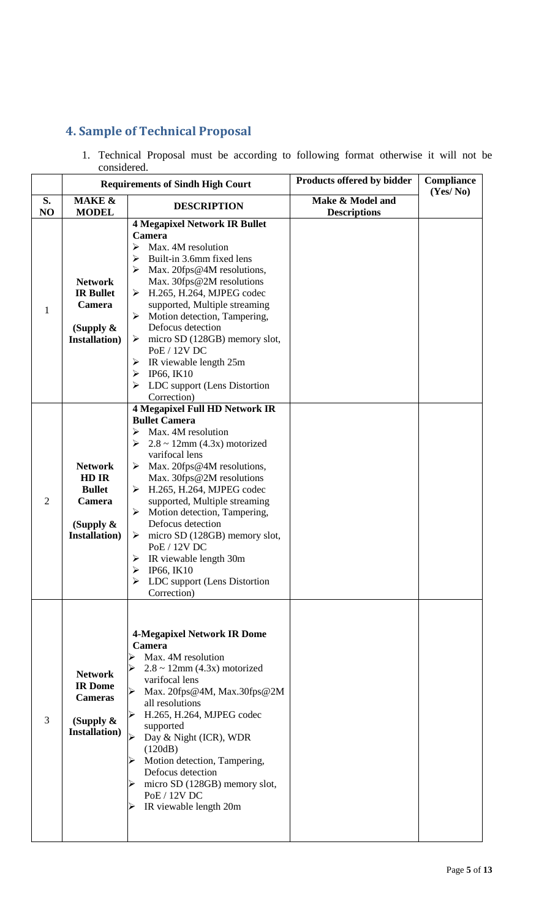# **4. Sample of Technical Proposal**

1. Technical Proposal must be according to following format otherwise it will not be considered.

|                | <b>Requirements of Sindh High Court</b>                                                                                                                                                                                                                                                                                                                                                                                                                                                                                                                                                            |                                                                                                                                                                                                                                                                                                                                                                                                             | Products offered by bidder              | Compliance<br>(Yes/No) |
|----------------|----------------------------------------------------------------------------------------------------------------------------------------------------------------------------------------------------------------------------------------------------------------------------------------------------------------------------------------------------------------------------------------------------------------------------------------------------------------------------------------------------------------------------------------------------------------------------------------------------|-------------------------------------------------------------------------------------------------------------------------------------------------------------------------------------------------------------------------------------------------------------------------------------------------------------------------------------------------------------------------------------------------------------|-----------------------------------------|------------------------|
| S.<br>NO       | <b>MAKE &amp;</b><br><b>MODEL</b>                                                                                                                                                                                                                                                                                                                                                                                                                                                                                                                                                                  | <b>DESCRIPTION</b>                                                                                                                                                                                                                                                                                                                                                                                          | Make & Model and<br><b>Descriptions</b> |                        |
| $\mathbf{1}$   | <b>4 Megapixel Network IR Bullet</b><br>Camera<br>Max. 4M resolution<br>$\blacktriangleright$<br>Built-in 3.6mm fixed lens<br>➤<br>Max. 20fps@4M resolutions,<br>Max. 30fps@2M resolutions<br><b>Network</b><br><b>IR Bullet</b><br>H.265, H.264, MJPEG codec<br>➤<br>supported, Multiple streaming<br>Camera<br>Motion detection, Tampering,<br>➤<br>Defocus detection<br>(Supply $\&$<br><b>Installation</b> )<br>$\triangleright$ micro SD (128GB) memory slot,<br>PoE / 12V DC<br>IR viewable length 25m<br>➤<br>IP66, IK10<br>➤<br>LDC support (Lens Distortion<br>Correction)                |                                                                                                                                                                                                                                                                                                                                                                                                             |                                         |                        |
| $\overline{2}$ | <b>4 Megapixel Full HD Network IR</b><br><b>Bullet Camera</b><br>Max. 4M resolution<br>➤<br>$2.8 \sim 12$ mm (4.3x) motorized<br>➤<br>varifocal lens<br>Max. 20fps@4M resolutions,<br><b>Network</b><br>➤<br>HD IR<br>Max. 30fps@2M resolutions<br>H.265, H.264, MJPEG codec<br><b>Bullet</b><br>➤<br>supported, Multiple streaming<br>Camera<br>Motion detection, Tampering,<br>➤<br>Defocus detection<br>(Supply $\&$<br><b>Installation</b> )<br>micro SD (128GB) memory slot,<br>➤<br>PoE / 12V DC<br>IR viewable length 30m<br>➤<br>IP66, IK10<br>LDC support (Lens Distortion<br>Correction) |                                                                                                                                                                                                                                                                                                                                                                                                             |                                         |                        |
| 3              | <b>Network</b><br><b>IR</b> Dome<br><b>Cameras</b><br>(Supply $\&$<br><b>Installation</b> )                                                                                                                                                                                                                                                                                                                                                                                                                                                                                                        | <b>4-Megapixel Network IR Dome</b><br><b>Camera</b><br>Max. 4M resolution<br>$2.8 \sim 12$ mm (4.3x) motorized<br>varifocal lens<br>Max. 20fps@4M, Max.30fps@2M<br>all resolutions<br>H.265, H.264, MJPEG codec<br>➤<br>supported<br>Day & Night (ICR), WDR<br>(120dB)<br>Motion detection, Tampering,<br>Defocus detection<br>micro SD (128GB) memory slot,<br>PoE / 12V DC<br>IR viewable length 20m<br>⋗ |                                         |                        |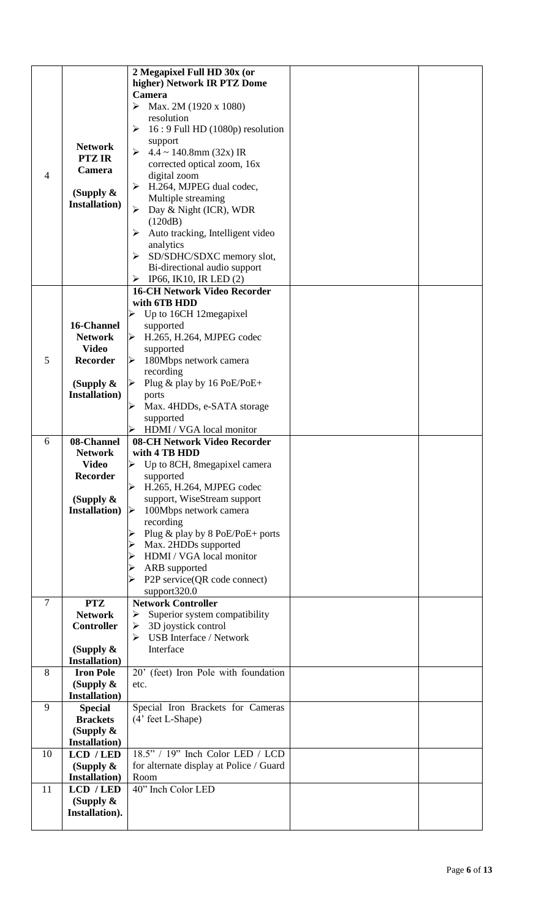|                |                                         | 2 Megapixel Full HD 30x (or                             |  |
|----------------|-----------------------------------------|---------------------------------------------------------|--|
|                |                                         | higher) Network IR PTZ Dome                             |  |
|                |                                         | Camera                                                  |  |
|                |                                         | ➤<br>Max. 2M (1920 x 1080)                              |  |
|                |                                         | resolution<br>$16:9$ Full HD $(1080p)$ resolution<br>➤  |  |
|                |                                         | support                                                 |  |
|                | <b>Network</b>                          | $4.4 \sim 140.8$ mm (32x) IR<br>➤                       |  |
|                | <b>PTZ IR</b>                           | corrected optical zoom, 16x                             |  |
| 4              | Camera                                  | digital zoom                                            |  |
|                | (Supply $\&$                            | H.264, MJPEG dual codec,<br>➤                           |  |
|                | <b>Installation</b> )                   | Multiple streaming                                      |  |
|                |                                         | Day & Night (ICR), WDR<br>➤                             |  |
|                |                                         | (120dB)<br>Auto tracking, Intelligent video<br>➤        |  |
|                |                                         | analytics                                               |  |
|                |                                         | SD/SDHC/SDXC memory slot,<br>➤                          |  |
|                |                                         | Bi-directional audio support                            |  |
|                |                                         | IP66, IK10, IR LED $(2)$<br>➤                           |  |
|                |                                         | <b>16-CH Network Video Recorder</b>                     |  |
|                |                                         | with 6TB HDD                                            |  |
|                |                                         | Up to 16CH 12megapixel                                  |  |
|                | 16-Channel<br><b>Network</b>            | supported<br>H.265, H.264, MJPEG codec                  |  |
|                | <b>Video</b>                            | $\blacktriangle$<br>supported                           |  |
| 5              | <b>Recorder</b>                         | $\blacktriangleleft$<br>180Mbps network camera          |  |
|                |                                         | recording                                               |  |
|                | (Supply $\&$                            | Plug & play by $16$ PoE/PoE+<br>$\blacktriangle$        |  |
|                | <b>Installation</b> )                   | ports                                                   |  |
|                |                                         | Max. 4HDDs, e-SATA storage<br>⋗                         |  |
|                |                                         | supported                                               |  |
| 6              | 08-Channel                              | HDMI / VGA local monitor<br>➤                           |  |
|                | <b>Network</b>                          | 08-CH Network Video Recorder<br>with 4 TB HDD           |  |
|                | <b>Video</b>                            | Up to 8CH, 8 megapixel camera<br>➤                      |  |
|                | <b>Recorder</b>                         | supported                                               |  |
|                |                                         | H.265, H.264, MJPEG codec                               |  |
|                | (Supply $\&$                            | support, WiseStream support                             |  |
|                | <b>Installation</b> )                   | 100Mbps network camera                                  |  |
|                |                                         | recording                                               |  |
|                |                                         | Plug & play by 8 PoE/PoE+ ports<br>Max. 2HDDs supported |  |
|                |                                         | HDMI / VGA local monitor                                |  |
|                |                                         | ARB supported                                           |  |
|                |                                         | P2P service(QR code connect)                            |  |
|                |                                         | support320.0                                            |  |
| $\overline{7}$ | <b>Network Controller</b><br><b>PTZ</b> |                                                         |  |
|                | <b>Network</b>                          | Superior system compatibility<br>➤                      |  |
|                | <b>Controller</b>                       | 3D joystick control<br>➤                                |  |
|                | (Supply $\&$                            | <b>USB</b> Interface / Network<br>⋗<br>Interface        |  |
|                | <b>Installation</b> )                   |                                                         |  |
| 8              | <b>Iron Pole</b>                        | 20' (feet) Iron Pole with foundation                    |  |
|                | (Supply $\&$                            | etc.                                                    |  |
|                | <b>Installation</b> )                   |                                                         |  |
| 9              | <b>Special</b>                          | Special Iron Brackets for Cameras                       |  |
|                | <b>Brackets</b>                         | (4' feet L-Shape)                                       |  |
|                | (Supply $\&$                            |                                                         |  |
| 10             | <b>Installation</b> )<br>LCD / LED      | 18.5" / 19" Inch Color LED / LCD                        |  |
|                | (Supply $\&$                            | for alternate display at Police / Guard                 |  |
|                | <b>Installation</b> )                   | Room                                                    |  |
| 11             | LCD / LED                               | 40" Inch Color LED                                      |  |
|                |                                         |                                                         |  |
|                | (Supply $\&$                            |                                                         |  |
|                | Installation).                          |                                                         |  |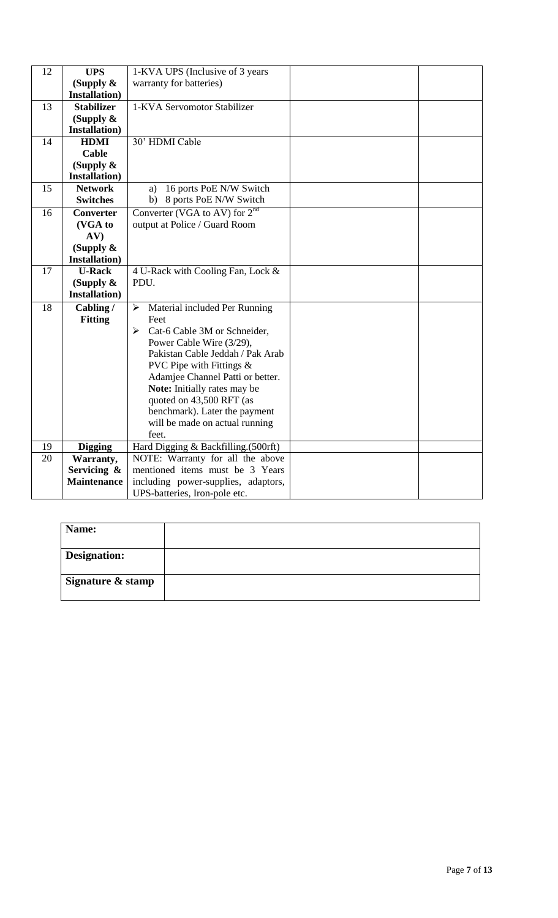| 12                                                          | <b>UPS</b>            | 1-KVA UPS (Inclusive of 3 years                                  |  |  |
|-------------------------------------------------------------|-----------------------|------------------------------------------------------------------|--|--|
|                                                             | (Supply $\&$          | warranty for batteries)                                          |  |  |
|                                                             | <b>Installation</b> ) |                                                                  |  |  |
| 13                                                          | <b>Stabilizer</b>     | 1-KVA Servomotor Stabilizer                                      |  |  |
|                                                             | (Supply $\&$          |                                                                  |  |  |
|                                                             | Installation)         |                                                                  |  |  |
| 14                                                          | <b>HDMI</b>           | 30' HDMI Cable                                                   |  |  |
|                                                             | <b>Cable</b>          |                                                                  |  |  |
|                                                             | (Supply $\&$          |                                                                  |  |  |
|                                                             | <b>Installation</b> ) |                                                                  |  |  |
| 15                                                          | <b>Network</b>        | 16 ports PoE N/W Switch<br>a)                                    |  |  |
|                                                             | <b>Switches</b>       | 8 ports PoE N/W Switch<br>b)                                     |  |  |
| 16                                                          | <b>Converter</b>      | Converter (VGA to AV) for $2nd$                                  |  |  |
|                                                             | (VGA to               | output at Police / Guard Room                                    |  |  |
|                                                             | AV)                   |                                                                  |  |  |
|                                                             | (Supply $\&$          |                                                                  |  |  |
|                                                             | <b>Installation</b> ) |                                                                  |  |  |
| 17                                                          | <b>U-Rack</b>         | 4 U-Rack with Cooling Fan, Lock &                                |  |  |
|                                                             | (Supply $\&$          | PDU.                                                             |  |  |
|                                                             | <b>Installation</b> ) |                                                                  |  |  |
| 18                                                          | Cabling/              | Material included Per Running<br>$\blacktriangleright$           |  |  |
|                                                             | <b>Fitting</b>        | Feet                                                             |  |  |
|                                                             |                       | Cat-6 Cable 3M or Schneider,<br>➤                                |  |  |
|                                                             |                       | Power Cable Wire (3/29),                                         |  |  |
|                                                             |                       | Pakistan Cable Jeddah / Pak Arab                                 |  |  |
|                                                             |                       | PVC Pipe with Fittings $\&$                                      |  |  |
|                                                             |                       | Adamjee Channel Patti or better.<br>Note: Initially rates may be |  |  |
|                                                             |                       | quoted on 43,500 RFT (as                                         |  |  |
|                                                             |                       | benchmark). Later the payment                                    |  |  |
|                                                             |                       | will be made on actual running                                   |  |  |
|                                                             |                       | feet.                                                            |  |  |
| Hard Digging & Backfilling.(500rft)<br>19<br><b>Digging</b> |                       |                                                                  |  |  |
| 20                                                          | Warranty,             | NOTE: Warranty for all the above                                 |  |  |
|                                                             | Servicing &           | mentioned items must be 3 Years                                  |  |  |
|                                                             | <b>Maintenance</b>    | including power-supplies, adaptors,                              |  |  |
|                                                             |                       | UPS-batteries, Iron-pole etc.                                    |  |  |

| Name:               |  |
|---------------------|--|
| <b>Designation:</b> |  |
| Signature & stamp   |  |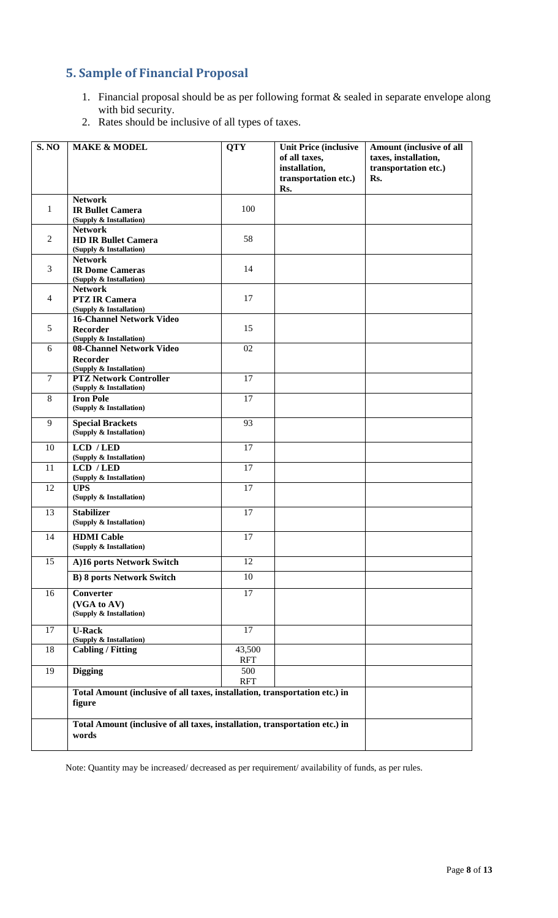# <span id="page-7-0"></span>**5. Sample of Financial Proposal**

- 1. Financial proposal should be as per following format & sealed in separate envelope along with bid security.
- 2. Rates should be inclusive of all types of taxes.

| <b>S. NO</b>   | <b>MAKE &amp; MODEL</b>                                                               | <b>QTY</b>           | <b>Unit Price (inclusive</b><br>of all taxes,<br>installation,<br>transportation etc.)<br>Rs. | Amount (inclusive of all<br>taxes, installation,<br>transportation etc.)<br>Rs. |
|----------------|---------------------------------------------------------------------------------------|----------------------|-----------------------------------------------------------------------------------------------|---------------------------------------------------------------------------------|
| $\mathbf{1}$   | <b>Network</b><br><b>IR Bullet Camera</b><br>(Supply & Installation)                  | 100                  |                                                                                               |                                                                                 |
| $\mathbf{2}$   | <b>Network</b><br><b>HD IR Bullet Camera</b><br>(Supply & Installation)               | 58                   |                                                                                               |                                                                                 |
| 3              | <b>Network</b><br><b>IR Dome Cameras</b><br>(Supply & Installation)                   | 14                   |                                                                                               |                                                                                 |
| $\overline{4}$ | <b>Network</b><br><b>PTZ IR Camera</b><br>(Supply & Installation)                     | 17                   |                                                                                               |                                                                                 |
| 5              | <b>16-Channel Network Video</b><br>Recorder<br>(Supply & Installation)                | 15                   |                                                                                               |                                                                                 |
| 6              | 08-Channel Network Video<br><b>Recorder</b><br>(Supply & Installation)                | 02                   |                                                                                               |                                                                                 |
| $\tau$         | <b>PTZ Network Controller</b><br>(Supply & Installation)                              | 17                   |                                                                                               |                                                                                 |
| 8              | <b>Iron Pole</b><br>(Supply & Installation)                                           | 17                   |                                                                                               |                                                                                 |
| 9              | <b>Special Brackets</b><br>(Supply & Installation)                                    | 93                   |                                                                                               |                                                                                 |
| 10             | LCD / LED<br>(Supply & Installation)                                                  | 17                   |                                                                                               |                                                                                 |
| 11             | LCD / LED<br>(Supply & Installation)                                                  | 17                   |                                                                                               |                                                                                 |
| 12             | <b>UPS</b><br>(Supply & Installation)                                                 | 17                   |                                                                                               |                                                                                 |
| 13             | <b>Stabilizer</b><br>(Supply & Installation)                                          | 17                   |                                                                                               |                                                                                 |
| 14             | <b>HDMI</b> Cable<br>(Supply & Installation)                                          | 17                   |                                                                                               |                                                                                 |
| 15             | A)16 ports Network Switch                                                             | 12                   |                                                                                               |                                                                                 |
|                | <b>B) 8 ports Network Switch</b>                                                      | 10                   |                                                                                               |                                                                                 |
| 16             | Converter<br>(VGA to AV)<br>(Supply & Installation)                                   | 17                   |                                                                                               |                                                                                 |
| 17             | <b>U-Rack</b><br>(Supply & Installation)                                              | 17                   |                                                                                               |                                                                                 |
| 18             | <b>Cabling / Fitting</b>                                                              | 43,500<br><b>RFT</b> |                                                                                               |                                                                                 |
| 19             | <b>Digging</b>                                                                        | 500<br><b>RFT</b>    |                                                                                               |                                                                                 |
|                | Total Amount (inclusive of all taxes, installation, transportation etc.) in<br>figure |                      |                                                                                               |                                                                                 |
|                | Total Amount (inclusive of all taxes, installation, transportation etc.) in<br>words  |                      |                                                                                               |                                                                                 |

Note: Quantity may be increased/ decreased as per requirement/ availability of funds, as per rules.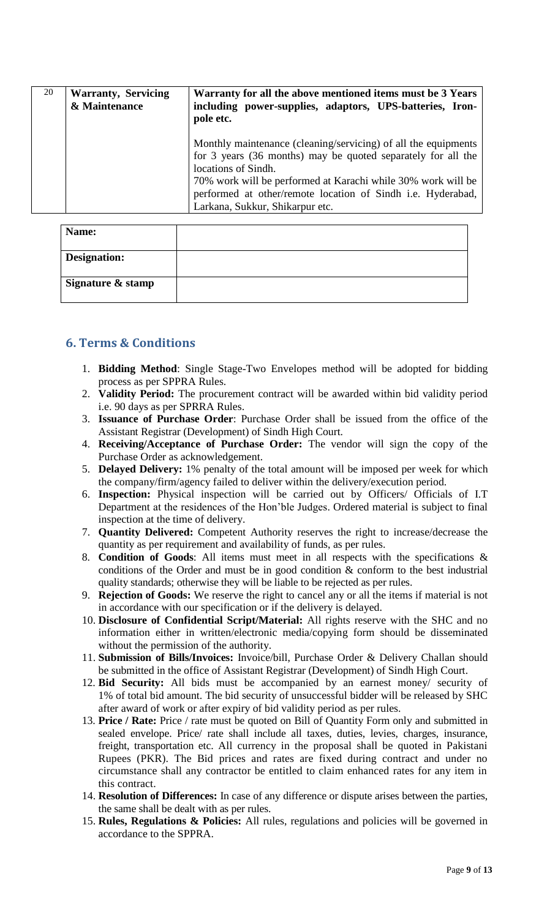| 20 | <b>Warranty, Servicing</b><br>& Maintenance | Warranty for all the above mentioned items must be 3 Years<br>including power-supplies, adaptors, UPS-batteries, Iron-<br>pole etc.                                                                                                                                                                                     |
|----|---------------------------------------------|-------------------------------------------------------------------------------------------------------------------------------------------------------------------------------------------------------------------------------------------------------------------------------------------------------------------------|
|    |                                             | Monthly maintenance (cleaning/servicing) of all the equipments<br>for 3 years (36 months) may be quoted separately for all the<br>locations of Sindh.<br>70% work will be performed at Karachi while 30% work will be<br>performed at other/remote location of Sindh i.e. Hyderabad,<br>Larkana, Sukkur, Shikarpur etc. |

| Name:               |  |
|---------------------|--|
| <b>Designation:</b> |  |
| Signature & stamp   |  |

# <span id="page-8-0"></span>**6. Terms & Conditions**

- 1. **Bidding Method**: Single Stage-Two Envelopes method will be adopted for bidding process as per SPPRA Rules.
- 2. **Validity Period:** The procurement contract will be awarded within bid validity period i.e. 90 days as per SPRRA Rules.
- 3. **Issuance of Purchase Order**: Purchase Order shall be issued from the office of the Assistant Registrar (Development) of Sindh High Court.
- 4. **Receiving/Acceptance of Purchase Order:** The vendor will sign the copy of the Purchase Order as acknowledgement.
- 5. **Delayed Delivery:** 1% penalty of the total amount will be imposed per week for which the company/firm/agency failed to deliver within the delivery/execution period.
- 6. **Inspection:** Physical inspection will be carried out by Officers/ Officials of I.T Department at the residences of the Hon'ble Judges. Ordered material is subject to final inspection at the time of delivery.
- 7. **Quantity Delivered:** Competent Authority reserves the right to increase/decrease the quantity as per requirement and availability of funds, as per rules.
- 8. **Condition of Goods**: All items must meet in all respects with the specifications & conditions of the Order and must be in good condition & conform to the best industrial quality standards; otherwise they will be liable to be rejected as per rules.
- 9. **Rejection of Goods:** We reserve the right to cancel any or all the items if material is not in accordance with our specification or if the delivery is delayed.
- 10. **Disclosure of Confidential Script/Material:** All rights reserve with the SHC and no information either in written/electronic media/copying form should be disseminated without the permission of the authority.
- 11. **Submission of Bills/Invoices:** Invoice/bill, Purchase Order & Delivery Challan should be submitted in the office of Assistant Registrar (Development) of Sindh High Court.
- 12. **Bid Security:** All bids must be accompanied by an earnest money/ security of 1% of total bid amount. The bid security of unsuccessful bidder will be released by SHC after award of work or after expiry of bid validity period as per rules.
- 13. **Price / Rate:** Price / rate must be quoted on Bill of Quantity Form only and submitted in sealed envelope. Price/ rate shall include all taxes, duties, levies, charges, insurance, freight, transportation etc. All currency in the proposal shall be quoted in Pakistani Rupees (PKR). The Bid prices and rates are fixed during contract and under no circumstance shall any contractor be entitled to claim enhanced rates for any item in this contract.
- 14. **Resolution of Differences:** In case of any difference or dispute arises between the parties, the same shall be dealt with as per rules.
- 15. **Rules, Regulations & Policies:** All rules, regulations and policies will be governed in accordance to the SPPRA.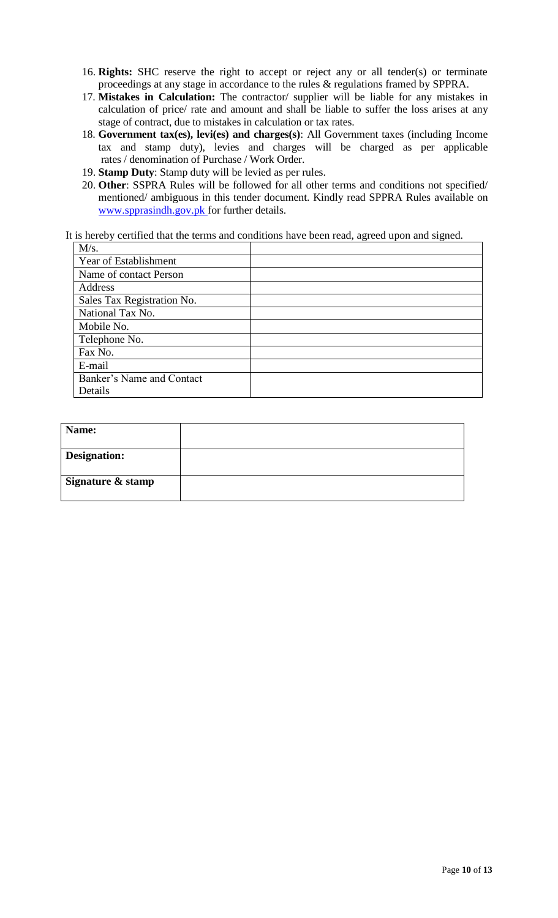- 16. **Rights:** SHC reserve the right to accept or reject any or all tender(s) or terminate proceedings at any stage in accordance to the rules & regulations framed by SPPRA.
- 17. **Mistakes in Calculation:** The contractor/ supplier will be liable for any mistakes in calculation of price/ rate and amount and shall be liable to suffer the loss arises at any stage of contract, due to mistakes in calculation or tax rates.
- 18. **Government tax(es), levi(es) and charges(s)**: All Government taxes (including Income tax and stamp duty), levies and charges will be charged as per applicable rates / denomination of Purchase / Work Order.
- 19. **Stamp Duty**: Stamp duty will be levied as per rules.
- 20. **Other**: SSPRA Rules will be followed for all other terms and conditions not specified/ mentioned/ ambiguous in this tender document. Kindly read SPPRA Rules available on [www.spprasindh.gov.pk](http://www.spprasindh.gov.pk/) for further details.

It is hereby certified that the terms and conditions have been read, agreed upon and signed.

| M/s.                       |  |
|----------------------------|--|
| Year of Establishment      |  |
| Name of contact Person     |  |
| Address                    |  |
| Sales Tax Registration No. |  |
| National Tax No.           |  |
| Mobile No.                 |  |
| Telephone No.              |  |
| Fax No.                    |  |
| E-mail                     |  |
| Banker's Name and Contact  |  |
| Details                    |  |

| Name:               |  |
|---------------------|--|
| <b>Designation:</b> |  |
| Signature & stamp   |  |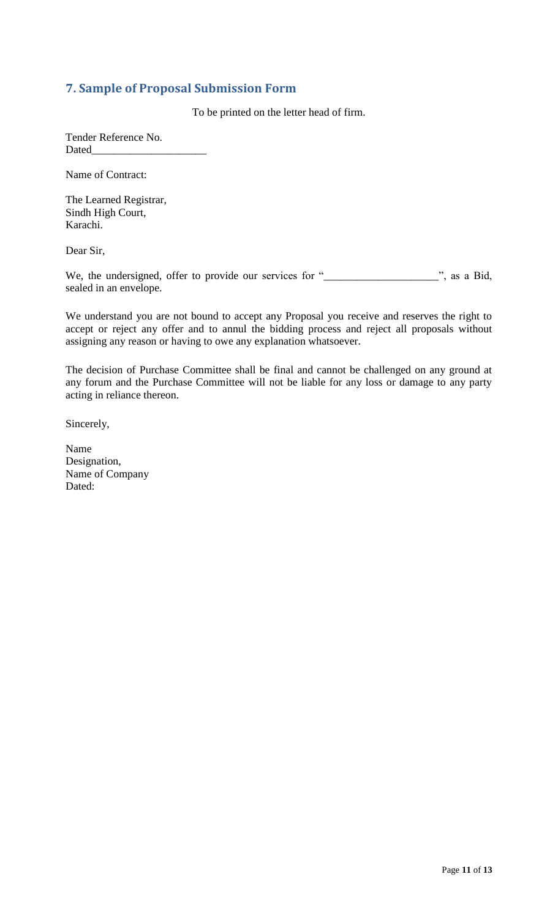# <span id="page-10-0"></span>**7. Sample of Proposal Submission Form**

To be printed on the letter head of firm.

Tender Reference No. Dated\_

Name of Contract:

The Learned Registrar, Sindh High Court, Karachi.

Dear Sir,

We, the undersigned, offer to provide our services for "\_\_\_\_\_\_\_\_\_\_\_\_\_\_\_\_\_\_\_\_\_\_", as a Bid, sealed in an envelope.

We understand you are not bound to accept any Proposal you receive and reserves the right to accept or reject any offer and to annul the bidding process and reject all proposals without assigning any reason or having to owe any explanation whatsoever.

The decision of Purchase Committee shall be final and cannot be challenged on any ground at any forum and the Purchase Committee will not be liable for any loss or damage to any party acting in reliance thereon.

Sincerely,

Name Designation, Name of Company Dated: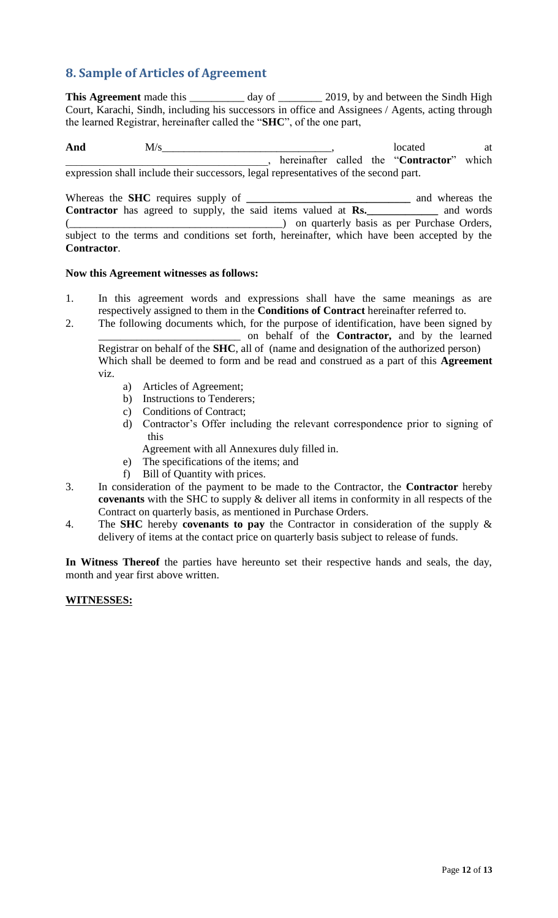# <span id="page-11-0"></span>**8. Sample of Articles of Agreement**

This Agreement made this \_\_\_\_\_\_\_\_\_ day of \_\_\_\_\_\_\_ 2019, by and between the Sindh High Court, Karachi, Sindh, including his successors in office and Assignees / Agents, acting through the learned Registrar, hereinafter called the "**SHC**", of the one part,

And  $M/s$  at  $M/s$  at  $M/s$  at  $M/s$  at  $M$ \_\_\_\_\_\_\_\_\_\_\_\_\_\_\_\_\_\_\_\_\_\_\_\_\_\_\_\_\_\_\_\_\_\_\_\_\_, hereinafter called the "**Contractor**" which expression shall include their successors, legal representatives of the second part.

Whereas the **SHC** requires supply of **\_\_\_\_\_\_\_\_\_\_\_\_\_\_\_\_\_\_\_\_\_\_\_\_\_\_\_\_\_\_** and whereas the **Contractor** has agreed to supply, the said items valued at **Rs.\_\_\_\_\_\_\_\_\_\_\_\_\_** and words (\_\_\_\_\_\_\_\_\_\_\_\_\_\_\_\_\_\_\_\_\_\_\_\_\_\_\_\_\_\_\_\_\_\_\_\_\_\_\_) on quarterly basis as per Purchase Orders, subject to the terms and conditions set forth, hereinafter, which have been accepted by the **Contractor**.

#### **Now this Agreement witnesses as follows:**

- 1. In this agreement words and expressions shall have the same meanings as are respectively assigned to them in the **Conditions of Contract** hereinafter referred to.
- 2. The following documents which, for the purpose of identification, have been signed by \_\_\_\_\_\_\_\_\_\_\_\_\_\_\_\_\_\_\_\_\_\_\_\_\_\_ on behalf of the **Contractor,** and by the learned Registrar on behalf of the **SHC**, all of (name and designation of the authorized person) Which shall be deemed to form and be read and construed as a part of this **Agreement**  viz.
	- a) Articles of Agreement;
	- b) Instructions to Tenderers;
	- c) Conditions of Contract;
	- d) Contractor's Offer including the relevant correspondence prior to signing of this

Agreement with all Annexures duly filled in.

- e) The specifications of the items; and
- f) Bill of Quantity with prices.
- 3. In consideration of the payment to be made to the Contractor, the **Contractor** hereby **covenants** with the SHC to supply & deliver all items in conformity in all respects of the Contract on quarterly basis, as mentioned in Purchase Orders.
- 4. The **SHC** hereby **covenants to pay** the Contractor in consideration of the supply & delivery of items at the contact price on quarterly basis subject to release of funds.

**In Witness Thereof** the parties have hereunto set their respective hands and seals, the day, month and year first above written.

#### **WITNESSES:**